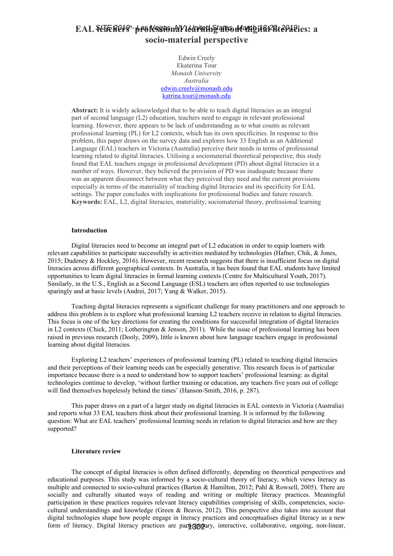# **EAL teachers' professional learning about digital literacies: a** *SITE 2019 - Las Vegas, NV, United States, March 18-22, 2019***socio-material perspective**

Edwin Creely Ekaterina Tour *Monash University Australia* [edwin.creely@monash.edu](mailto:edwin.creely@monash.edu) [katrina.tour@monash.edu](mailto:katrina.tour@monash.edu)

**Abstract:** It is widely acknowledged that to be able to teach digital literacies as an integral part of second language (L2) education, teachers need to engage in relevant professional learning. However, there appears to be lack of understanding as to what counts as relevant professional learning (PL) for L2 contexts, which has its own specificities. In response to this problem, this paper draws on the survey data and explores how 33 English as an Additional Language (EAL) teachers in Victoria (Australia) perceive their needs in terms of professional learning related to digital literacies. Utilising a sociomaterial theoretical perspective, this study found that EAL teachers engage in professional development (PD) about digital literacies in a number of ways. However, they believed the provision of PD was inadequate because there was an apparent disconnect between what they perceived they need and the current provisions especially in terms of the materiality of teaching digital literacies and its specificity for EAL settings. The paper concludes with implications for professional bodies and future research. **Keywords:** EAL, L2, digital literacies, materiality, sociomaterial theory, professional learning

## **Introduction**

Digital literacies need to become an integral part of L2 education in order to equip learners with relevant capabilities to participate successfully in activities mediated by technologies (Hafner, Chik, & Jones, 2015; Dudeney & Hockley, 2016). However, recent research suggests that there is insufficient focus on digital literacies across different geographical contexts. In Australia, it has been found that EAL students have limited opportunities to learn digital literacies in formal learning contexts (Centre for Multicultural Youth, 2017). Similarly, in the U.S., English as a Second Language (ESL) teachers are often reported to use technologies sparingly and at basic levels (Andrei, 2017; Yang & Walker, 2015).

Teaching digital literacies represents a significant challenge for many practitioners and one approach to address this problem is to explore what professional learning L2 teachers receive in relation to digital literacies. This focus is one of the key directions for creating the conditions for successful integration of digital literacies in L2 contexts (Chick, 2011; Lotherington & Jenson, 2011). While the issue of professional learning has been raised in previous research (Dooly, 2009), little is known about how language teachers engage in professional learning about digital literacies.

Exploring L2 teachers' experiences of professional learning (PL) related to teaching digital literacies and their perceptions of their learning needs can be especially generative. This research focus is of particular importance because there is a need to understand how to support teachers' professional learning: as digital technologies continue to develop, 'without further training or education, any teachers five years out of college will find themselves hopelessly behind the times' (Hanson-Smith, 2016, p. 287).

This paper draws on a part of a larger study on digital literacies in EAL contexts in Victoria (Australia) and reports what 33 EAL teachers think about their professional learning. It is informed by the following question: What are EAL teachers' professional learning needs in relation to digital literacies and how are they supported?

#### **Literature review**

The concept of digital literacies is often defined differently, depending on theoretical perspectives and educational purposes. This study was informed by a socio-cultural theory of literacy, which views literacy as multiple and connected to socio-cultural practices (Barton & Hamilton, 2012; Pahl & Rowsell, 2005). There are socially and culturally situated ways of reading and writing or multiple literacy practices. Meaningful participation in these practices requires relevant literacy capabilities comprising of skills, competencies, sociocultural understandings and knowledge (Green & Beavis, 2012). This perspective also takes into account that digital technologies shape how people engage in literacy practices and conceptualises digital literacy as a new form of literacy. Digital literacy practices are participatory, interactive, collaborative, ongoing, non-linear,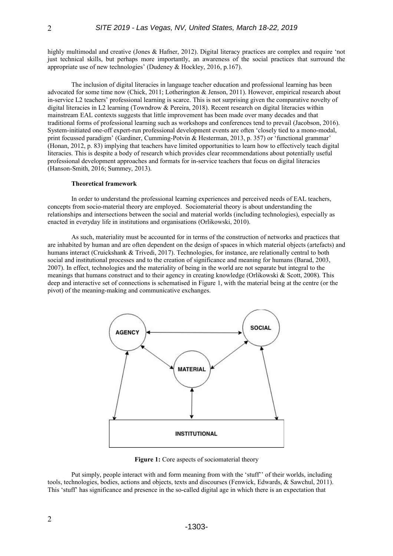highly multimodal and creative (Jones & Hafner, 2012). Digital literacy practices are complex and require 'not just technical skills, but perhaps more importantly, an awareness of the social practices that surround the appropriate use of new technologies' (Dudeney & Hockley, 2016, p.167).

The inclusion of digital literacies in language teacher education and professional learning has been advocated for some time now (Chick, 2011; Lotherington & Jenson, 2011). However, empirical research about in-service L2 teachers' professional learning is scarce. This is not surprising given the comparative novelty of digital literacies in L2 learning (Towndrow & Pereira, 2018). Recent research on digital literacies within mainstream EAL contexts suggests that little improvement has been made over many decades and that traditional forms of professional learning such as workshops and conferences tend to prevail (Jacobson, 2016). System-initiated one-off expert-run professional development events are often 'closely tied to a mono-modal, print focussed paradigm' (Gardiner, Cumming-Potvin & Hesterman, 2013, p. 357) or 'functional grammar' (Honan, 2012, p. 83) implying that teachers have limited opportunities to learn how to effectively teach digital literacies. This is despite a body of research which provides clear recommendations about potentially useful professional development approaches and formats for in-service teachers that focus on digital literacies (Hanson-Smith, 2016; Summey, 2013).

## **Theoretical framework**

In order to understand the professional learning experiences and perceived needs of EAL teachers, concepts from socio-material theory are employed. Sociomaterial theory is about understanding the relationships and intersections between the social and material worlds (including technologies), especially as enacted in everyday life in institutions and organisations (Orlikowski, 2010).

As such, materiality must be accounted for in terms of the construction of networks and practices that are inhabited by human and are often dependent on the design of spaces in which material objects (artefacts) and humans interact (Cruickshank & Trivedi, 2017). Technologies, for instance, are relationally central to both social and institutional processes and to the creation of significance and meaning for humans (Barad, 2003, 2007). In effect, technologies and the materiality of being in the world are not separate but integral to the meanings that humans construct and to their agency in creating knowledge (Orlikowski & Scott, 2008). This deep and interactive set of connections is schematised in Figure 1, with the material being at the centre (or the pivot) of the meaning-making and communicative exchanges.



Figure 1: Core aspects of sociomaterial theory

Put simply, people interact with and form meaning from with the 'stuff'' of their worlds, including tools, technologies, bodies, actions and objects, texts and discourses (Fenwick, Edwards, & Sawchul, 2011). This 'stuff' has significance and presence in the so-called digital age in which there is an expectation that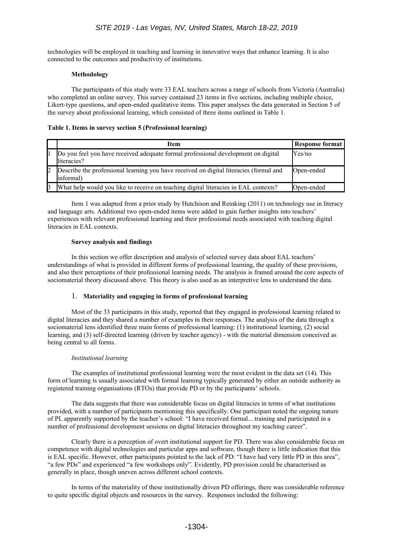technologies will be employed in teaching and learning in innovative ways that enhance learning. It is also connected to the outcomes and productivity of institutions.

# **Methodology**

The participants of this study were 33 EAL teachers across a range of schools from Victoria (Australia) who completed an online survey. This survey contained 23 items in five sections, including multiple choice, Likert-type questions, and open-ended qualitative items. This paper analyses the data generated in Section 5 of the survey about professional learning, which consisted of three items outlined in Table 1.

# **Table 1. Items in survey section 5 (Professional learning)**

| Item                                                                                                 | Response format |
|------------------------------------------------------------------------------------------------------|-----------------|
| Do you feel you have received adequate formal professional development on digital<br>literacies?     | Yes/no          |
| Describe the professional learning you have received on digital literacies (formal and<br>linformal) | Open-ended      |
| What help would you like to receive on teaching digital literacies in EAL contexts?                  | Open-ended      |

Item 1 was adapted from a prior study by Hutchison and Reinking (2011) on technology use in literacy and language arts. Additional two open-ended items were added to gain further insights into teachers' experiences with relevant professional learning and their professional needs associated with teaching digital literacies in EAL contexts.

# **Survey analysis and findings**

In this section we offer description and analysis of selected survey data about EAL teachers' understandings of what is provided in different forms of professional learning, the quality of these provisions, and also their perceptions of their professional learning needs. The analysis is framed around the core aspects of sociomaterial theory discussed above. This theory is also used as an interpretive lens to understand the data.

# 1. **Materiality and engaging in forms of professional learning**

Most of the 33 participants in this study, reported that they engaged in professional learning related to digital literacies and they shared a number of examples in their responses. The analysis of the data through a sociomaterial lens identified three main forms of professional learning: (1) institutional learning, (2) social learning, and (3) self-directed learning (driven by teacher agency) - with the material dimension conceived as being central to all forms.

# *Institutional learning*

The examples of institutional professional learning were the most evident in the data set (14). This form of learning is usually associated with formal learning typically generated by either an outside authority as registered training organisations (RTOs) that provide PD or by the participants' schools.

The data suggests that there was considerable focus on digital literacies in terms of what institutions provided, with a number of participants mentioning this specifically. One participant noted the ongoing nature of PL apparently supported by the teacher's school: "I have received formal... training and participated in a number of professional development sessions on digital literacies throughout my teaching career".

Clearly there is a perception of overt institutional support for PD. There was also considerable focus on competence with digital technologies and particular apps and software, though there is little indication that this is EAL specific. However, other participants pointed to the lack of PD: "I have had very little PD in this area", "a few PDs" and experienced "a few workshops only". Evidently, PD provision could be characterised as generally in place, though uneven across different school contexts.

In terms of the materiality of these institutionally driven PD offerings, there was considerable reference to quite specific digital objects and resources in the survey. Responses included the following: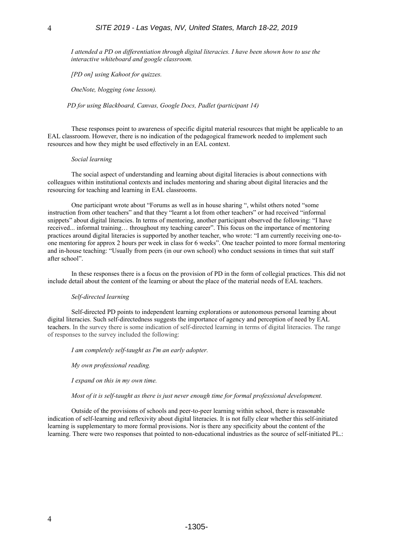*I attended a PD on differentiation through digital literacies. I have been shown how to use the interactive whiteboard and google classroom.*

*[PD on] using Kahoot for quizzes.* 

*OneNote, blogging (one lesson).*

*PD for using Blackboard, Canvas, Google Docs, Padlet (participant 14)*

These responses point to awareness of specific digital material resources that might be applicable to an EAL classroom. However, there is no indication of the pedagogical framework needed to implement such resources and how they might be used effectively in an EAL context.

#### *Social learning*

The social aspect of understanding and learning about digital literacies is about connections with colleagues within institutional contexts and includes mentoring and sharing about digital literacies and the resourcing for teaching and learning in EAL classrooms.

One participant wrote about "Forums as well as in house sharing ", whilst others noted "some instruction from other teachers" and that they "learnt a lot from other teachers" or had received "informal snippets" about digital literacies. In terms of mentoring, another participant observed the following: "I have received... informal training… throughout my teaching career". This focus on the importance of mentoring practices around digital literacies is supported by another teacher, who wrote: "I am currently receiving one-toone mentoring for approx 2 hours per week in class for 6 weeks". One teacher pointed to more formal mentoring and in-house teaching: "Usually from peers (in our own school) who conduct sessions in times that suit staff after school".

In these responses there is a focus on the provision of PD in the form of collegial practices. This did not include detail about the content of the learning or about the place of the material needs of EAL teachers.

#### *Self-directed learning*

Self-directed PD points to independent learning explorations or autonomous personal learning about digital literacies. Such self-directedness suggests the importance of agency and perception of need by EAL teachers. In the survey there is some indication of self-directed learning in terms of digital literacies. The range of responses to the survey included the following:

*I am completely self-taught as I'm an early adopter.*

*My own professional reading.*

*I expand on this in my own time.*

*Most of it is self-taught as there is just never enough time for formal professional development.*

Outside of the provisions of schools and peer-to-peer learning within school, there is reasonable indication of self-learning and reflexivity about digital literacies. It is not fully clear whether this self-initiated learning is supplementary to more formal provisions. Nor is there any specificity about the content of the learning. There were two responses that pointed to non-educational industries as the source of self-initiated PL.: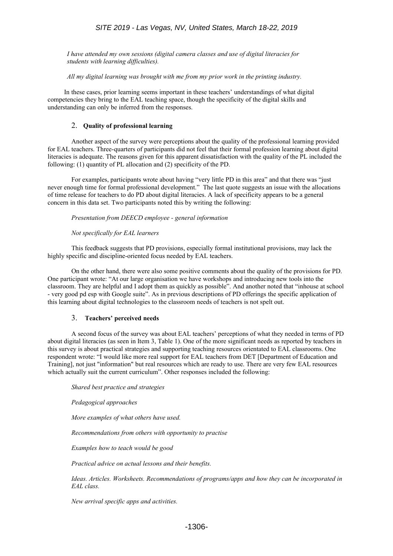# *SITE 2019 - Las Vegas, NV, United States, March 18-22, 2019*

*I have attended my own sessions (digital camera classes and use of digital literacies for students with learning difficulties).*

*All my digital learning was brought with me from my prior work in the printing industry.*

 In these cases, prior learning seems important in these teachers' understandings of what digital competencies they bring to the EAL teaching space, though the specificity of the digital skills and understanding can only be inferred from the responses.

# 2. **Quality of professional learning**

Another aspect of the survey were perceptions about the quality of the professional learning provided for EAL teachers. Three-quarters of participants did not feel that their formal profession learning about digital literacies is adequate. The reasons given for this apparent dissatisfaction with the quality of the PL included the following: (1) quantity of PL allocation and (2) specificity of the PD.

For examples, participants wrote about having "very little PD in this area" and that there was "just never enough time for formal professional development." The last quote suggests an issue with the allocations of time release for teachers to do PD about digital literacies. A lack of specificity appears to be a general concern in this data set. Two participants noted this by writing the following:

## *Presentation from DEECD employee - general information*

## *Not specifically for EAL learners*

This feedback suggests that PD provisions, especially formal institutional provisions, may lack the highly specific and discipline-oriented focus needed by EAL teachers.

On the other hand, there were also some positive comments about the quality of the provisions for PD. One participant wrote: "At our large organisation we have workshops and introducing new tools into the classroom. They are helpful and I adopt them as quickly as possible". And another noted that "inhouse at school - very good pd esp with Google suite". As in previous descriptions of PD offerings the specific application of this learning about digital technologies to the classroom needs of teachers is not spelt out.

# 3. **Teachers' perceived needs**

A second focus of the survey was about EAL teachers' perceptions of what they needed in terms of PD about digital literacies (as seen in Item 3, Table 1). One of the more significant needs as reported by teachers in this survey is about practical strategies and supporting teaching resources orientated to EAL classrooms. One respondent wrote: "I would like more real support for EAL teachers from DET [Department of Education and Training], not just "information" but real resources which are ready to use. There are very few EAL resources which actually suit the current curriculum". Other responses included the following:

#### *Shared best practice and strategies*

*Pedagogical approaches*

*More examples of what others have used.* 

*Recommendations from others with opportunity to practise*

*Examples how to teach would be good*

*Practical advice on actual lessons and their benefits.*

*Ideas. Articles. Worksheets. Recommendations of programs/apps and how they can be incorporated in EAL class.* 

*New arrival specific apps and activities.*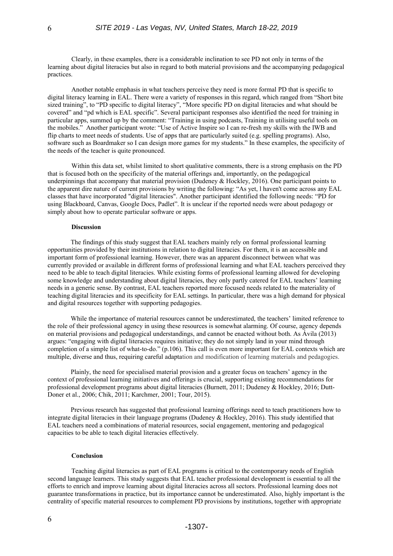Clearly, in these examples, there is a considerable inclination to see PD not only in terms of the learning about digital literacies but also in regard to both material provisions and the accompanying pedagogical practices.

Another notable emphasis in what teachers perceive they need is more formal PD that is specific to digital literacy learning in EAL. There were a variety of responses in this regard, which ranged from "Short bite sized training", to "PD specific to digital literacy", "More specific PD on digital literacies and what should be covered" and "pd which is EAL specific". Several participant responses also identified the need for training in particular apps, summed up by the comment: "Training in using podcasts, Training in utilising useful tools on the mobiles." Another participant wrote: "Use of Active Inspire so I can re-fresh my skills with the IWB and flip charts to meet needs of students. Use of apps that are particularly suited (e.g. spelling programs). Also, software such as Boardmaker so I can design more games for my students." In these examples, the specificity of the needs of the teacher is quite pronounced.

Within this data set, whilst limited to short qualitative comments, there is a strong emphasis on the PD that is focused both on the specificity of the material offerings and, importantly, on the pedagogical underpinnings that accompany that material provision (Dudeney & Hockley, 2016). One participant points to the apparent dire nature of current provisions by writing the following: "As yet, l haven't come across any EAL classes that have incorporated "digital literacies". Another participant identified the following needs: "PD for using Blackboard, Canvas, Google Docs, Padlet". It is unclear if the reported needs were about pedagogy or simply about how to operate particular software or apps.

# **Discussion**

The findings of this study suggest that EAL teachers mainly rely on formal professional learning opportunities provided by their institutions in relation to digital literacies. For them, it is an accessible and important form of professional learning. However, there was an apparent disconnect between what was currently provided or available in different forms of professional learning and what EAL teachers perceived they need to be able to teach digital literacies. While existing forms of professional learning allowed for developing some knowledge and understanding about digital literacies, they only partly catered for EAL teachers' learning needs in a generic sense. By contrast, EAL teachers reported more focused needs related to the materiality of teaching digital literacies and its specificity for EAL settings. In particular, there was a high demand for physical and digital resources together with supporting pedagogies.

While the importance of material resources cannot be underestimated, the teachers' limited reference to the role of their professional agency in using these resources is somewhat alarming. Of course, agency depends on material provisions and pedagogical understandings, and cannot be enacted without both. As Ávila (2013) argues: "engaging with digital literacies requires initiative; they do not simply land in your mind through completion of a simple list of what-to-do." (p.106). This call is even more important for EAL contexts which are multiple, diverse and thus, requiring careful adaptation and modification of learning materials and pedagogies.

Plainly, the need for specialised material provision and a greater focus on teachers' agency in the context of professional learning initiatives and offerings is crucial, supporting existing recommendations for professional development programs about digital literacies (Burnett, 2011; Dudeney & Hockley, 2016; Dutt-Doner et al., 2006; Chik, 2011; Karchmer, 2001; Tour, 2015).

Previous research has suggested that professional learning offerings need to teach practitioners how to integrate digital literacies in their language programs (Dudeney & Hockley, 2016). This study identified that EAL teachers need a combinations of material resources, social engagement, mentoring and pedagogical capacities to be able to teach digital literacies effectively.

#### **Conclusion**

Teaching digital literacies as part of EAL programs is critical to the contemporary needs of English second language learners. This study suggests that EAL teacher professional development is essential to all the efforts to enrich and improve learning about digital literacies across all sectors. Professional learning does not guarantee transformations in practice, but its importance cannot be underestimated. Also, highly important is the centrality of specific material resources to complement PD provisions by institutions, together with appropriate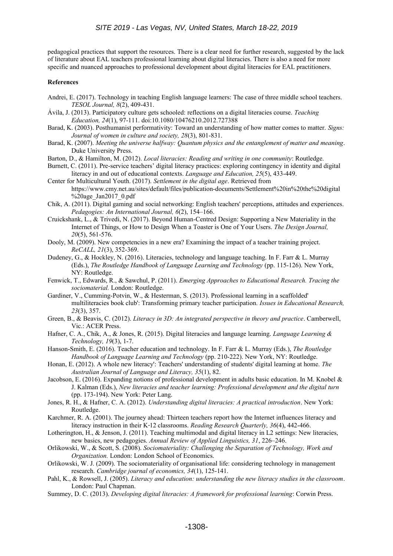pedagogical practices that support the resources. There is a clear need for further research, suggested by the lack of literature about EAL teachers professional learning about digital literacies. There is also a need for more specific and nuanced approaches to professional development about digital literacies for EAL practitioners.

#### **References**

- Andrei, E. (2017). Technology in teaching English language learners: The case of three middle school teachers. *TESOL Journal, 8*(2), 409-431.
- Ávila, J. (2013). Participatory culture gets schooled: reflections on a digital literacies course. *Teaching Education, 24*(1), 97-111. doi:10.1080/10476210.2012.727388
- Barad, K. (2003). Posthumanist performativity: Toward an understanding of how matter comes to matter. *Signs: Journal of women in culture and society, 28*(3), 801-831.
- Barad, K. (2007). *Meeting the universe halfway: Quantum physics and the entanglement of matter and meaning*. Duke University Press.
- Barton, D., & Hamilton, M. (2012). *Local literacies: Reading and writing in one community*: Routledge.
- Burnett, C. (2011). Pre-service teachers' digital literacy practices: exploring contingency in identity and digital literacy in and out of educational contexts. *Language and Education, 25*(5), 433-449.
- Center for Multicultural Youth. (2017). *Settlement in the digital age*. Retrieved from https://www.cmy.net.au/sites/default/files/publication-documents/Settlement%20in%20the%20digital %20age\_Jan2017\_0.pdf
- Chik, A. (2011). Digital gaming and social networking: English teachers' perceptions, attitudes and experiences. *Pedagogies: An International Journal, 6*(2), 154–166.
- Cruickshank, L., & Trivedi, N. (2017). Beyond Human-Centred Design: Supporting a New Materiality in the Internet of Things, or How to Design When a Toaster is One of Your Users. *The Design Journal, 20*(5), 561-576.
- Dooly, M. (2009). New competencies in a new era? Examining the impact of a teacher training project. *ReCALL, 21*(3), 352-369.
- Dudeney, G., & Hockley, N. (2016). Literacies, technology and language teaching. In F. Farr & L. Murray (Eds.), *The Routledge Handbook of Language Learning and Technology* (pp. 115-126). New York, NY: Routledge.
- Fenwick, T., Edwards, R., & Sawchul, P. (2011). *Emerging Approaches to Educational Research. Tracing the sociomaterial.* London: Routledge.
- Gardiner, V., Cumming-Potvin, W., & Hesterman, S. (2013). Professional learning in a scaffolded' multiliteracies book club': Transforming primary teacher participation. *Issues in Educational Research, 23*(3), 357.
- Green, B., & Beavis, C. (2012). *Literacy in 3D: An integrated perspective in theory and practice*. Camberwell, Vic.: ACER Press.
- Hafner, C. A., Chik, A., & Jones, R. (2015). Digital literacies and language learning. *Language Learning & Technology, 19*(3), 1-7.
- Hanson-Smith, E. (2016). Teacher education and technology. In F. Farr & L. Murray (Eds.), *The Routledge Handbook of Language Learning and Technology* (pp. 210-222). New York, NY: Routledge.
- Honan, E. (2012). A whole new literacy': Teachers' understanding of students' digital learning at home. *The Australian Journal of Language and Literacy, 35*(1), 82.
- Jacobson, E. (2016). Expanding notions of professional development in adults basic education. In M. Knobel & J. Kalman (Eds.), *New literacies and teacher learning: Professional development and the digital turn* (pp. 173-194). New York: Peter Lang.
- Jones, R. H., & Hafner, C. A. (2012). *Understanding digital literacies: A practical introduction*. New York: Routledge.
- Karchmer, R. A. (2001). The journey ahead: Thirteen teachers report how the Internet influences literacy and literacy instruction in their K-12 classrooms. *Reading Research Quarterly*, 36(4), 442-466.
- Lotherington, H., & Jenson, J. (2011). Teaching multimodal and digital literacy in L2 settings: New literacies, new basics, new pedagogies. *Annual Review of Applied Linguistics, 31*, 226–246.
- Orlikowski, W., & Scott, S. (2008). *Sociomateriality: Challenging the Separation of Technology, Work and Organization.* London: London School of Economics.
- Orlikowski, W. J. (2009). The sociomateriality of organisational life: considering technology in management research. *Cambridge journal of economics, 34*(1), 125-141.
- Pahl, K., & Rowsell, J. (2005). *Literacy and education: understanding the new literacy studies in the classroom*. London: Paul Chapman.
- Summey, D. C. (2013). *Developing digital literacies: A framework for professional learning*: Corwin Press.